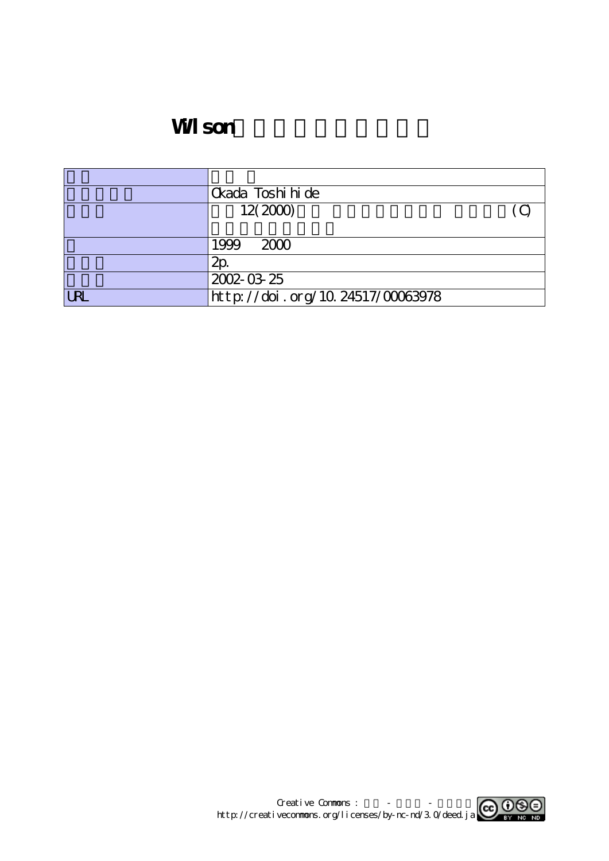# **WI** son

|            | Ckada Toshi hi de                |  |
|------------|----------------------------------|--|
|            | 12(2000)                         |  |
|            |                                  |  |
|            | 2000<br>1999                     |  |
|            | 2p                               |  |
|            | 2002-03-25                       |  |
| <b>URL</b> | http://doi.org/10.24517/00063978 |  |

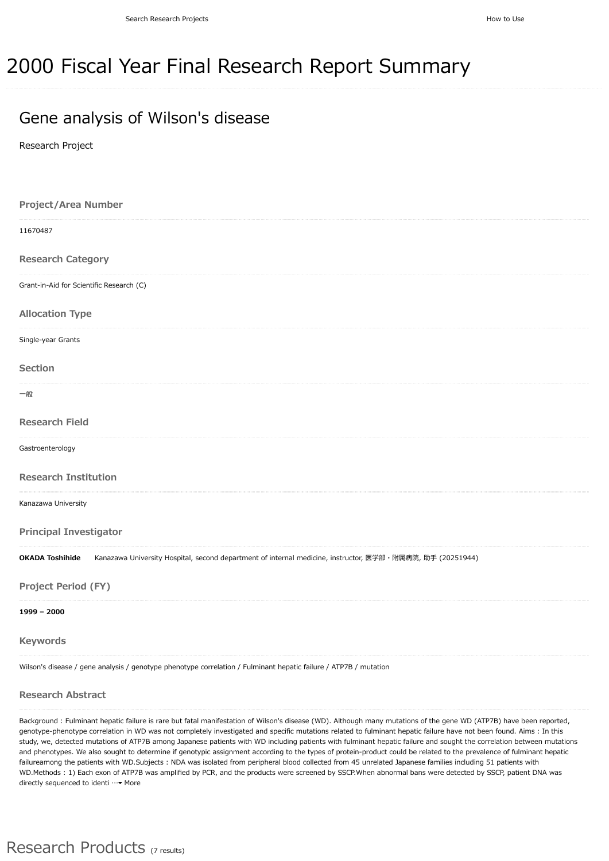## 2000 Fiscal Year Final Research Report Summary

### Gene analysis of Wilson's disease

Research Project

| <b>Project/Area Number</b>                                                                                                          |
|-------------------------------------------------------------------------------------------------------------------------------------|
| 11670487                                                                                                                            |
| <b>Research Category</b>                                                                                                            |
| Grant-in-Aid for Scientific Research (C)                                                                                            |
| <b>Allocation Type</b>                                                                                                              |
| Single-year Grants                                                                                                                  |
| Section                                                                                                                             |
| 一般                                                                                                                                  |
| <b>Research Field</b>                                                                                                               |
| Gastroenterology                                                                                                                    |
| <b>Research Institution</b>                                                                                                         |
| Kanazawa University                                                                                                                 |
| <b>Principal Investigator</b>                                                                                                       |
| <b>OKADA Toshihide</b><br>Kanazawa University Hospital, second department of internal medicine, instructor, 医学部・附属病院, 助手 (20251944) |
| <b>Project Period (FY)</b>                                                                                                          |
| $1999 - 2000$                                                                                                                       |
| <b>Keywords</b>                                                                                                                     |
| Wilson's disease / gene analysis / genotype phenotype correlation / Fulminant hepatic failure / ATP7B / mutation                    |

#### **Research Abstract**

Background : Fulminant hepatic failure is rare but fatal manifestation of Wilson's disease (WD). Although many mutations of the gene WD (ATP7B) have been reported, genotype-phenotype correlation in WD was not completely investigated and specific mutations related to fulminant hepatic failure have not been found. Aims : In this study, we, detected mutations of ATP7B among Japanese patients with WD including patients with fulminant hepatic failure and sought the correlation between mutations and phenotypes. We also sought to determine if genotypic assignment according to the types of protein-product could be related to the prevalence of fulminant hepatic failureamong the patients with WD.Subjects : NDA was isolated from peripheral blood collected from 45 unrelated Japanese families including 51 patients with WD.Methods : 1) Each exon of ATP7B was amplified by PCR, and the products were screened by SSCP.When abnormal bans were detected by SSCP, patient DNA was directly sequenced to identi …• More

#### Research Products (7 results)